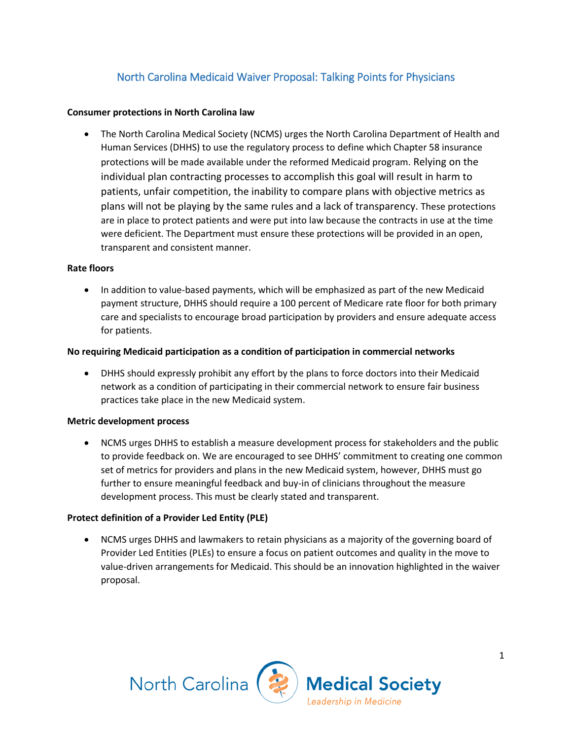# North Carolina Medicaid Waiver Proposal: Talking Points for Physicians

## **Consumer protections in North Carolina law**

 The North Carolina Medical Society (NCMS) urges the North Carolina Department of Health and Human Services (DHHS) to use the regulatory process to define which Chapter 58 insurance protections will be made available under the reformed Medicaid program. Relying on the individual plan contracting processes to accomplish this goal will result in harm to patients, unfair competition, the inability to compare plans with objective metrics as plans will not be playing by the same rules and a lack of transparency. These protections are in place to protect patients and were put into law because the contracts in use at the time were deficient. The Department must ensure these protections will be provided in an open, transparent and consistent manner.

#### **Rate floors**

• In addition to value-based payments, which will be emphasized as part of the new Medicaid payment structure, DHHS should require a 100 percent of Medicare rate floor for both primary care and specialists to encourage broad participation by providers and ensure adequate access for patients.

#### **No requiring Medicaid participation as a condition of participation in commercial networks**

 DHHS should expressly prohibit any effort by the plans to force doctors into their Medicaid network as a condition of participating in their commercial network to ensure fair business practices take place in the new Medicaid system.

## **Metric development process**

 NCMS urges DHHS to establish a measure development process for stakeholders and the public to provide feedback on. We are encouraged to see DHHS' commitment to creating one common set of metrics for providers and plans in the new Medicaid system, however, DHHS must go further to ensure meaningful feedback and buy-in of clinicians throughout the measure development process. This must be clearly stated and transparent.

## **Protect definition of a Provider Led Entity (PLE)**

 NCMS urges DHHS and lawmakers to retain physicians as a majority of the governing board of Provider Led Entities (PLEs) to ensure a focus on patient outcomes and quality in the move to value-driven arrangements for Medicaid. This should be an innovation highlighted in the waiver proposal.

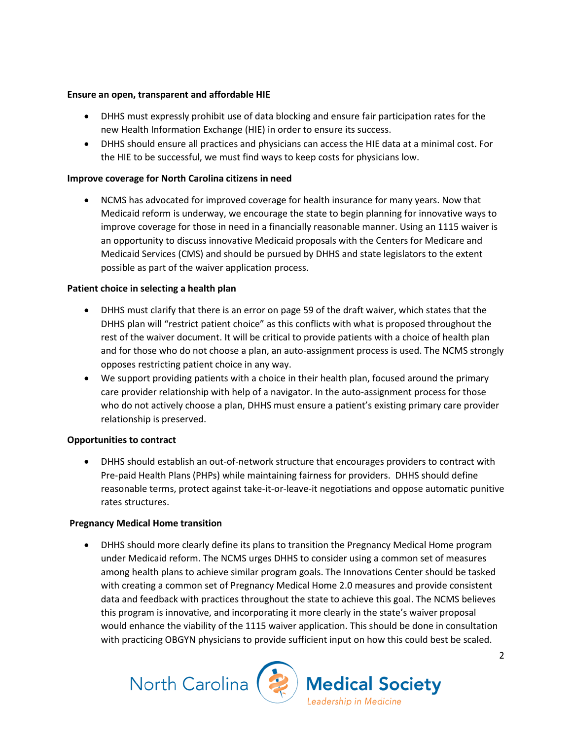## **Ensure an open, transparent and affordable HIE**

- DHHS must expressly prohibit use of data blocking and ensure fair participation rates for the new Health Information Exchange (HIE) in order to ensure its success.
- DHHS should ensure all practices and physicians can access the HIE data at a minimal cost. For the HIE to be successful, we must find ways to keep costs for physicians low.

# **Improve coverage for North Carolina citizens in need**

 NCMS has advocated for improved coverage for health insurance for many years. Now that Medicaid reform is underway, we encourage the state to begin planning for innovative ways to improve coverage for those in need in a financially reasonable manner. Using an 1115 waiver is an opportunity to discuss innovative Medicaid proposals with the Centers for Medicare and Medicaid Services (CMS) and should be pursued by DHHS and state legislators to the extent possible as part of the waiver application process.

## **Patient choice in selecting a health plan**

- DHHS must clarify that there is an error on page 59 of the draft waiver, which states that the DHHS plan will "restrict patient choice" as this conflicts with what is proposed throughout the rest of the waiver document. It will be critical to provide patients with a choice of health plan and for those who do not choose a plan, an auto-assignment process is used. The NCMS strongly opposes restricting patient choice in any way.
- We support providing patients with a choice in their health plan, focused around the primary care provider relationship with help of a navigator. In the auto-assignment process for those who do not actively choose a plan, DHHS must ensure a patient's existing primary care provider relationship is preserved.

## **Opportunities to contract**

 DHHS should establish an out-of-network structure that encourages providers to contract with Pre-paid Health Plans (PHPs) while maintaining fairness for providers. DHHS should define reasonable terms, protect against take-it-or-leave-it negotiations and oppose automatic punitive rates structures.

## **Pregnancy Medical Home transition**

 DHHS should more clearly define its plans to transition the Pregnancy Medical Home program under Medicaid reform. The NCMS urges DHHS to consider using a common set of measures among health plans to achieve similar program goals. The Innovations Center should be tasked with creating a common set of Pregnancy Medical Home 2.0 measures and provide consistent data and feedback with practices throughout the state to achieve this goal. The NCMS believes this program is innovative, and incorporating it more clearly in the state's waiver proposal would enhance the viability of the 1115 waiver application. This should be done in consultation with practicing OBGYN physicians to provide sufficient input on how this could best be scaled.